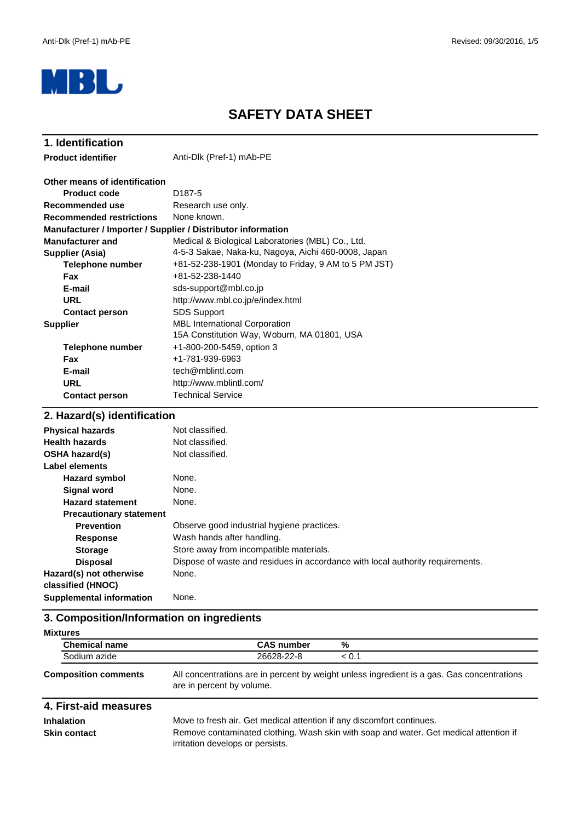

# **SAFETY DATA SHEET**

| 1. Identification                                            |                                                      |  |  |
|--------------------------------------------------------------|------------------------------------------------------|--|--|
| <b>Product identifier</b>                                    | Anti-Dlk (Pref-1) mAb-PE                             |  |  |
| Other means of identification                                |                                                      |  |  |
| <b>Product code</b>                                          | D <sub>187-5</sub>                                   |  |  |
| <b>Recommended use</b>                                       | Research use only.                                   |  |  |
| <b>Recommended restrictions</b>                              | None known.                                          |  |  |
| Manufacturer / Importer / Supplier / Distributor information |                                                      |  |  |
| <b>Manufacturer and</b>                                      | Medical & Biological Laboratories (MBL) Co., Ltd.    |  |  |
| Supplier (Asia)                                              | 4-5-3 Sakae, Naka-ku, Nagoya, Aichi 460-0008, Japan  |  |  |
| <b>Telephone number</b>                                      | +81-52-238-1901 (Monday to Friday, 9 AM to 5 PM JST) |  |  |
| <b>Fax</b>                                                   | +81-52-238-1440                                      |  |  |
| E-mail                                                       | sds-support@mbl.co.jp                                |  |  |
| <b>URL</b>                                                   | http://www.mbl.co.jp/e/index.html                    |  |  |
| <b>Contact person</b>                                        | <b>SDS Support</b>                                   |  |  |
| <b>Supplier</b>                                              | <b>MBL International Corporation</b>                 |  |  |
|                                                              | 15A Constitution Way, Woburn, MA 01801, USA          |  |  |
| <b>Telephone number</b>                                      | +1-800-200-5459, option 3                            |  |  |
| <b>Fax</b>                                                   | +1-781-939-6963                                      |  |  |
| E-mail                                                       | tech@mblintl.com                                     |  |  |
| <b>URL</b>                                                   | http://www.mblintl.com/                              |  |  |
| <b>Contact person</b>                                        | <b>Technical Service</b>                             |  |  |
| 2. Hazard(s) identification                                  |                                                      |  |  |
| Dhuaisel beserved                                            | Not ologoified                                       |  |  |

| Not classified.                                                                |
|--------------------------------------------------------------------------------|
| Not classified.                                                                |
| Not classified.                                                                |
|                                                                                |
| None.                                                                          |
| None.                                                                          |
| None.                                                                          |
|                                                                                |
| Observe good industrial hygiene practices.                                     |
| Wash hands after handling.                                                     |
| Store away from incompatible materials.                                        |
| Dispose of waste and residues in accordance with local authority requirements. |
| None.                                                                          |
|                                                                                |
| None.                                                                          |
|                                                                                |

# **3. Composition/Information on ingredients**

| <b>Mixtures</b>             |                           |                                                                                            |
|-----------------------------|---------------------------|--------------------------------------------------------------------------------------------|
| <b>Chemical name</b>        | <b>CAS number</b>         | %                                                                                          |
| Sodium azide                | 26628-22-8                | < 0.1                                                                                      |
| <b>Composition comments</b> | are in percent by volume. | All concentrations are in percent by weight unless ingredient is a gas. Gas concentrations |

| 4. First-aid measures             |                                                                                                                                                                |
|-----------------------------------|----------------------------------------------------------------------------------------------------------------------------------------------------------------|
| <b>Inhalation</b><br>Skin contact | Move to fresh air. Get medical attention if any discomfort continues.<br>Remove contaminated clothing. Wash skin with soap and water. Get medical attention if |
|                                   | irritation develops or persists.                                                                                                                               |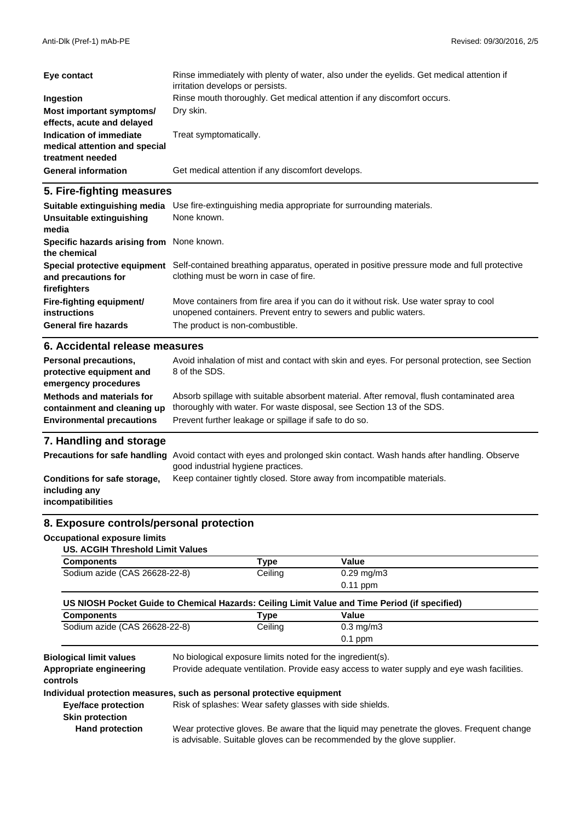| Eye contact                                                                  | Rinse immediately with plenty of water, also under the eyelids. Get medical attention if<br>irritation develops or persists. |
|------------------------------------------------------------------------------|------------------------------------------------------------------------------------------------------------------------------|
| Ingestion                                                                    | Rinse mouth thoroughly. Get medical attention if any discomfort occurs.                                                      |
| Most important symptoms/<br>effects, acute and delayed                       | Dry skin.                                                                                                                    |
| Indication of immediate<br>medical attention and special<br>treatment needed | Treat symptomatically.                                                                                                       |
| <b>General information</b>                                                   | Get medical attention if any discomfort develops.                                                                            |

### **5. Fire-fighting measures**

| Suitable extinguishing media<br>Unsuitable extinguishing            | Use fire-extinguishing media appropriate for surrounding materials.<br>None known.                                                                       |
|---------------------------------------------------------------------|----------------------------------------------------------------------------------------------------------------------------------------------------------|
| media                                                               |                                                                                                                                                          |
| Specific hazards arising from None known.<br>the chemical           |                                                                                                                                                          |
| Special protective equipment<br>and precautions for<br>firefighters | Self-contained breathing apparatus, operated in positive pressure mode and full protective<br>clothing must be worn in case of fire.                     |
| Fire-fighting equipment/<br>instructions                            | Move containers from fire area if you can do it without risk. Use water spray to cool<br>unopened containers. Prevent entry to sewers and public waters. |
| <b>General fire hazards</b>                                         | The product is non-combustible.                                                                                                                          |
| 6 Accidental release measures                                       |                                                                                                                                                          |

#### **6. Accidental release measures**

| Personal precautions,<br>protective equipment and<br>emergency procedures | Avoid inhalation of mist and contact with skin and eyes. For personal protection, see Section<br>8 of the SDS. |
|---------------------------------------------------------------------------|----------------------------------------------------------------------------------------------------------------|
| Methods and materials for                                                 | Absorb spillage with suitable absorbent material. After removal, flush contaminated area                       |
| containment and cleaning up                                               | thoroughly with water. For waste disposal, see Section 13 of the SDS.                                          |
| <b>Environmental precautions</b>                                          | Prevent further leakage or spillage if safe to do so.                                                          |

### **7. Handling and storage**

|                                                                    | <b>Precautions for safe handling</b> Avoid contact with eyes and prolonged skin contact. Wash hands after handling. Observe<br>good industrial hygiene practices. |
|--------------------------------------------------------------------|-------------------------------------------------------------------------------------------------------------------------------------------------------------------|
| Conditions for safe storage,<br>including any<br>incompatibilities | Keep container tightly closed. Store away from incompatible materials.                                                                                            |

#### **8. Exposure controls/personal protection**

#### **Occupational exposure limits**

| US. ACGIH Threshold Limit Values |  |
|----------------------------------|--|
|----------------------------------|--|

| <b>Components</b>             | $T$ vpe | Value                         |
|-------------------------------|---------|-------------------------------|
| Sodium azide (CAS 26628-22-8) | Ceiling | $0.29 \,\mathrm{mg/m3}$       |
|                               |         | $0.11$ ppm                    |
|                               | .       | _ _ _ _ _<br>- -- -<br>--- -- |

### **US NIOSH Pocket Guide to Chemical Hazards: Ceiling Limit Value and Time Period (if specified)**

| <b>Components</b>             | ™vpe    | Value              |  |
|-------------------------------|---------|--------------------|--|
| Sodium azide (CAS 26628-22-8) | Ceiling | $0.3 \text{ mg/m}$ |  |
|                               |         | $0.1$ ppm          |  |

**Appropriate engineering**

**Biological limit values** No biological exposure limits noted for the ingredient(s).

Provide adequate ventilation. Provide easy access to water supply and eye wash facilities.

**controls**

#### **Individual protection measures, such as personal protective equipment**

**Eye/face protection** Risk of splashes: Wear safety glasses with side shields.

**Skin protection**

 **Hand protection**

Wear protective gloves. Be aware that the liquid may penetrate the gloves. Frequent change is advisable. Suitable gloves can be recommended by the glove supplier.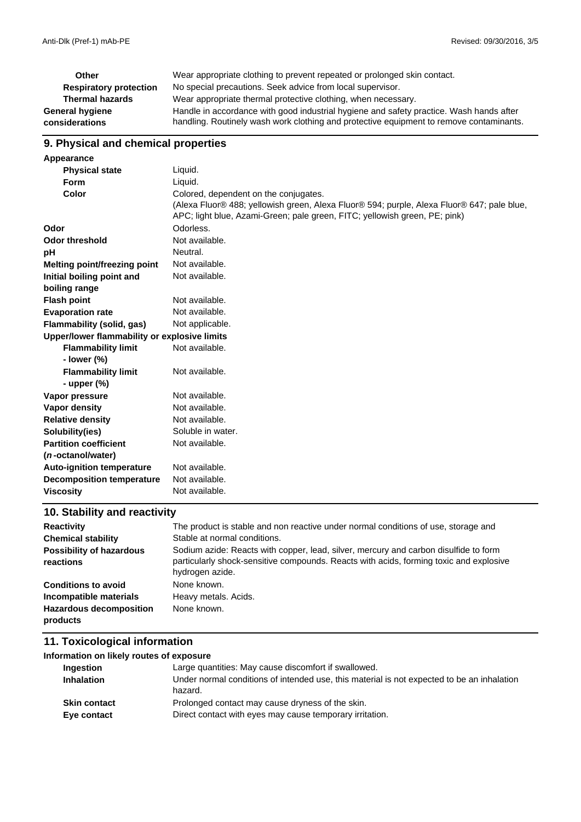| Other                         | Wear appropriate clothing to prevent repeated or prolonged skin contact.                |
|-------------------------------|-----------------------------------------------------------------------------------------|
| <b>Respiratory protection</b> | No special precautions. Seek advice from local supervisor.                              |
| <b>Thermal hazards</b>        | Wear appropriate thermal protective clothing, when necessary.                           |
| General hygiene               | Handle in accordance with good industrial hygiene and safety practice. Wash hands after |
| considerations                | handling. Routinely wash work clothing and protective equipment to remove contaminants. |

## **9. Physical and chemical properties**

| Appearance                                   |                                                                                            |
|----------------------------------------------|--------------------------------------------------------------------------------------------|
| <b>Physical state</b>                        | Liquid.                                                                                    |
| <b>Form</b>                                  | Liquid.                                                                                    |
| Color                                        | Colored, dependent on the conjugates.                                                      |
|                                              | (Alexa Fluor® 488; yellowish green, Alexa Fluor® 594; purple, Alexa Fluor® 647; pale blue, |
|                                              | APC; light blue, Azami-Green; pale green, FITC; yellowish green, PE; pink)                 |
| Odor                                         | Odorless.                                                                                  |
| <b>Odor threshold</b>                        | Not available.                                                                             |
| pH                                           | Neutral.                                                                                   |
| <b>Melting point/freezing point</b>          | Not available.                                                                             |
| Initial boiling point and                    | Not available.                                                                             |
| boiling range                                |                                                                                            |
| <b>Flash point</b>                           | Not available.                                                                             |
| <b>Evaporation rate</b>                      | Not available.                                                                             |
| Flammability (solid, gas)                    | Not applicable.                                                                            |
| Upper/lower flammability or explosive limits |                                                                                            |
| <b>Flammability limit</b>                    | Not available.                                                                             |
| - lower $(\%)$                               |                                                                                            |
| <b>Flammability limit</b>                    | Not available.                                                                             |
| - upper $(\%)$                               |                                                                                            |
| Vapor pressure                               | Not available.                                                                             |
| <b>Vapor density</b>                         | Not available.                                                                             |
| <b>Relative density</b>                      | Not available.                                                                             |
| Solubility(ies)                              | Soluble in water.                                                                          |
| <b>Partition coefficient</b>                 | Not available.                                                                             |
| ( <i>n</i> -octanol/water)                   |                                                                                            |
| <b>Auto-ignition temperature</b>             | Not available.                                                                             |
| <b>Decomposition temperature</b>             | Not available.                                                                             |
| <b>Viscosity</b>                             | Not available.                                                                             |
|                                              |                                                                                            |

## **10. Stability and reactivity**

| <b>Reactivity</b>                            | The product is stable and non reactive under normal conditions of use, storage and                                                                                                                |
|----------------------------------------------|---------------------------------------------------------------------------------------------------------------------------------------------------------------------------------------------------|
| <b>Chemical stability</b>                    | Stable at normal conditions.                                                                                                                                                                      |
| <b>Possibility of hazardous</b><br>reactions | Sodium azide: Reacts with copper, lead, silver, mercury and carbon disulfide to form<br>particularly shock-sensitive compounds. Reacts with acids, forming toxic and explosive<br>hydrogen azide. |
| <b>Conditions to avoid</b>                   | None known.                                                                                                                                                                                       |
| Incompatible materials                       | Heavy metals. Acids.                                                                                                                                                                              |
| <b>Hazardous decomposition</b><br>products   | None known.                                                                                                                                                                                       |

#### **11. Toxicological information**

| Information on likely routes of exposure |                                                                                                              |
|------------------------------------------|--------------------------------------------------------------------------------------------------------------|
| Ingestion                                | Large quantities: May cause discomfort if swallowed.                                                         |
| <b>Inhalation</b>                        | Under normal conditions of intended use, this material is not expected to be an inhalation<br>hazard.        |
| <b>Skin contact</b><br>Eye contact       | Prolonged contact may cause dryness of the skin.<br>Direct contact with eyes may cause temporary irritation. |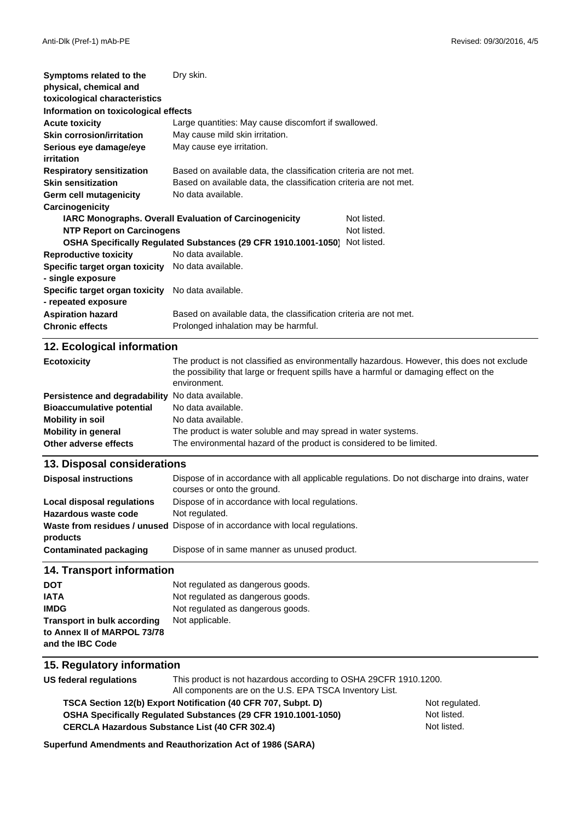| Symptoms related to the                                           | Dry skin.                                                                                                                    |  |
|-------------------------------------------------------------------|------------------------------------------------------------------------------------------------------------------------------|--|
| physical, chemical and                                            |                                                                                                                              |  |
| toxicological characteristics                                     |                                                                                                                              |  |
| Information on toxicological effects                              |                                                                                                                              |  |
| <b>Acute toxicity</b>                                             | Large quantities: May cause discomfort if swallowed.                                                                         |  |
| <b>Skin corrosion/irritation</b>                                  | May cause mild skin irritation.                                                                                              |  |
| Serious eye damage/eye                                            | May cause eye irritation.                                                                                                    |  |
| irritation                                                        |                                                                                                                              |  |
| <b>Respiratory sensitization</b>                                  | Based on available data, the classification criteria are not met.                                                            |  |
| <b>Skin sensitization</b>                                         | Based on available data, the classification criteria are not met.                                                            |  |
| Germ cell mutagenicity                                            | No data available.                                                                                                           |  |
| Carcinogenicity                                                   |                                                                                                                              |  |
|                                                                   | Not listed.<br>IARC Monographs. Overall Evaluation of Carcinogenicity                                                        |  |
| <b>NTP Report on Carcinogens</b>                                  | Not listed.                                                                                                                  |  |
|                                                                   | OSHA Specifically Regulated Substances (29 CFR 1910.1001-1050)<br>Not listed.                                                |  |
| <b>Reproductive toxicity</b>                                      | No data available.                                                                                                           |  |
| Specific target organ toxicity                                    | No data available.                                                                                                           |  |
| - single exposure                                                 |                                                                                                                              |  |
| Specific target organ toxicity                                    | No data available.                                                                                                           |  |
| - repeated exposure                                               |                                                                                                                              |  |
| <b>Aspiration hazard</b>                                          | Based on available data, the classification criteria are not met.                                                            |  |
| <b>Chronic effects</b>                                            | Prolonged inhalation may be harmful.                                                                                         |  |
|                                                                   |                                                                                                                              |  |
| 12. Ecological information                                        |                                                                                                                              |  |
| <b>Ecotoxicity</b>                                                | The product is not classified as environmentally hazardous. However, this does not exclude                                   |  |
|                                                                   | the possibility that large or frequent spills have a harmful or damaging effect on the<br>environment.                       |  |
| Persistence and degradability                                     | No data available.                                                                                                           |  |
| <b>Bioaccumulative potential</b>                                  | No data available.                                                                                                           |  |
| <b>Mobility in soil</b>                                           | No data available.                                                                                                           |  |
| <b>Mobility in general</b>                                        | The product is water soluble and may spread in water systems.                                                                |  |
| Other adverse effects                                             | The environmental hazard of the product is considered to be limited.                                                         |  |
|                                                                   |                                                                                                                              |  |
| 13. Disposal considerations                                       |                                                                                                                              |  |
| <b>Disposal instructions</b>                                      | Dispose of in accordance with all applicable regulations. Do not discharge into drains, water<br>courses or onto the ground. |  |
| Local disposal regulations                                        | Dispose of in accordance with local regulations.                                                                             |  |
| Hazardous waste code                                              | Not regulated.                                                                                                               |  |
|                                                                   | Waste from residues / unused Dispose of in accordance with local regulations.                                                |  |
| products                                                          |                                                                                                                              |  |
| <b>Contaminated packaging</b>                                     | Dispose of in same manner as unused product.                                                                                 |  |
| 14. Transport information                                         |                                                                                                                              |  |
|                                                                   |                                                                                                                              |  |
| <b>DOT</b>                                                        | Not regulated as dangerous goods.                                                                                            |  |
| <b>IATA</b><br><b>IMDG</b>                                        | Not regulated as dangerous goods.<br>Not regulated as dangerous goods.                                                       |  |
|                                                                   | Not applicable.                                                                                                              |  |
| <b>Transport in bulk according</b><br>to Annex II of MARPOL 73/78 |                                                                                                                              |  |
| and the IBC Code                                                  |                                                                                                                              |  |
|                                                                   |                                                                                                                              |  |
| 15. Regulatory information                                        |                                                                                                                              |  |
| <b>US federal regulations</b>                                     | This product is not hazardous according to OSHA 29CFR 1910.1200.                                                             |  |
|                                                                   | All components are on the U.S. EPA TSCA Inventory List.                                                                      |  |

**TSCA Section 12(b) Export Notification (40 CFR 707, Subpt. D)** Not regulated. **OSHA Specifically Regulated Substances (29 CFR 1910.1001-1050)** Not listed. CERCLA Hazardous Substance List (40 CFR 302.4) <br>
Not listed.

**Superfund Amendments and Reauthorization Act of 1986 (SARA)**